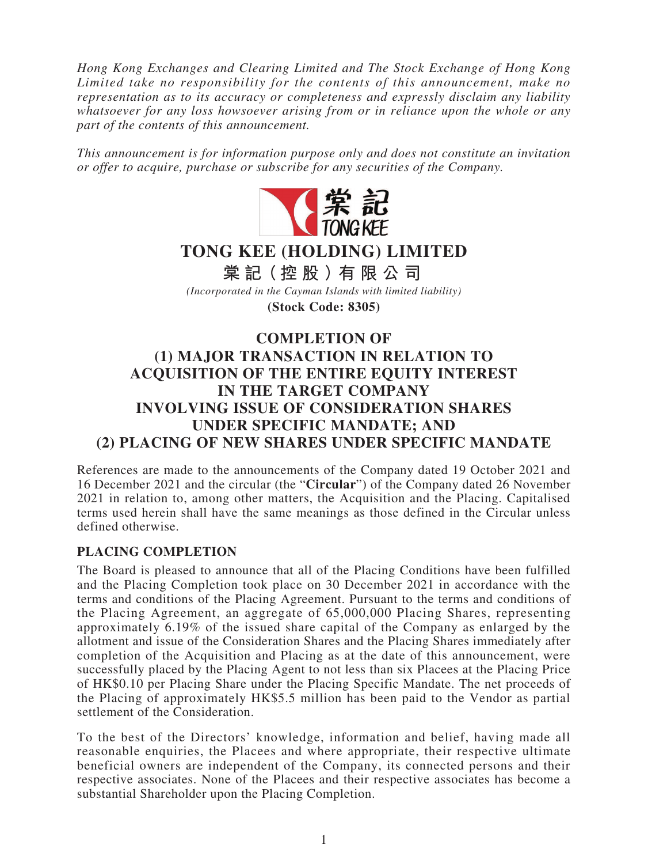*Hong Kong Exchanges and Clearing Limited and The Stock Exchange of Hong Kong Limited take no responsibility for the contents of this announcement, make no representation as to its accuracy or completeness and expressly disclaim any liability whatsoever for any loss howsoever arising from or in reliance upon the whole or any part of the contents of this announcement.*

*This announcement is for information purpose only and does not constitute an invitation or offer to acquire, purchase or subscribe for any securities of the Company.*



# **TONG KEE (HOLDING) LIMITED**

**棠 記(控股)有限公司** *(Incorporated in the Cayman Islands with limited liability)* **(Stock Code: 8305)**

# **COMPLETION OF (1) MAJOR TRANSACTION IN RELATION TO ACQUISITION OF THE ENTIRE EQUITY INTEREST IN THE TARGET COMPANY INVOLVING ISSUE OF CONSIDERATION SHARES UNDER SPECIFIC MANDATE; AND (2) PLACING OF NEW SHARES UNDER SPECIFIC MANDATE**

References are made to the announcements of the Company dated 19 October 2021 and 16 December 2021 and the circular (the "**Circular**") of the Company dated 26 November 2021 in relation to, among other matters, the Acquisition and the Placing. Capitalised terms used herein shall have the same meanings as those defined in the Circular unless defined otherwise.

## **PLACING COMPLETION**

The Board is pleased to announce that all of the Placing Conditions have been fulfilled and the Placing Completion took place on 30 December 2021 in accordance with the terms and conditions of the Placing Agreement. Pursuant to the terms and conditions of the Placing Agreement, an aggregate of 65,000,000 Placing Shares, representing approximately 6.19% of the issued share capital of the Company as enlarged by the allotment and issue of the Consideration Shares and the Placing Shares immediately after completion of the Acquisition and Placing as at the date of this announcement, were successfully placed by the Placing Agent to not less than six Placees at the Placing Price of HK\$0.10 per Placing Share under the Placing Specific Mandate. The net proceeds of the Placing of approximately HK\$5.5 million has been paid to the Vendor as partial settlement of the Consideration.

To the best of the Directors' knowledge, information and belief, having made all reasonable enquiries, the Placees and where appropriate, their respective ultimate beneficial owners are independent of the Company, its connected persons and their respective associates. None of the Placees and their respective associates has become a substantial Shareholder upon the Placing Completion.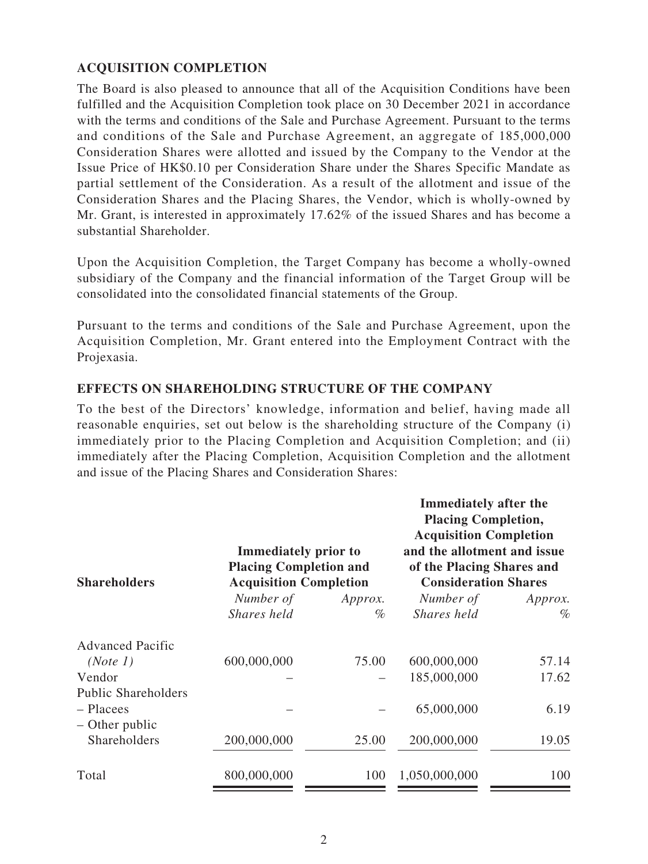## **ACQUISITION COMPLETION**

The Board is also pleased to announce that all of the Acquisition Conditions have been fulfilled and the Acquisition Completion took place on 30 December 2021 in accordance with the terms and conditions of the Sale and Purchase Agreement. Pursuant to the terms and conditions of the Sale and Purchase Agreement, an aggregate of 185,000,000 Consideration Shares were allotted and issued by the Company to the Vendor at the Issue Price of HK\$0.10 per Consideration Share under the Shares Specific Mandate as partial settlement of the Consideration. As a result of the allotment and issue of the Consideration Shares and the Placing Shares, the Vendor, which is wholly-owned by Mr. Grant, is interested in approximately 17.62% of the issued Shares and has become a substantial Shareholder.

Upon the Acquisition Completion, the Target Company has become a wholly-owned subsidiary of the Company and the financial information of the Target Group will be consolidated into the consolidated financial statements of the Group.

Pursuant to the terms and conditions of the Sale and Purchase Agreement, upon the Acquisition Completion, Mr. Grant entered into the Employment Contract with the Projexasia.

### **EFFECTS ON SHAREHOLDING STRUCTURE OF THE COMPANY**

To the best of the Directors' knowledge, information and belief, having made all reasonable enquiries, set out below is the shareholding structure of the Company (i) immediately prior to the Placing Completion and Acquisition Completion; and (ii) immediately after the Placing Completion, Acquisition Completion and the allotment and issue of the Placing Shares and Consideration Shares:

| <b>Shareholders</b>        | <b>Immediately prior to</b><br><b>Placing Completion and</b><br><b>Acquisition Completion</b> |         | <b>Immediately after the</b><br><b>Placing Completion,</b><br><b>Acquisition Completion</b><br>and the allotment and issue<br>of the Placing Shares and<br><b>Consideration Shares</b> |         |
|----------------------------|-----------------------------------------------------------------------------------------------|---------|----------------------------------------------------------------------------------------------------------------------------------------------------------------------------------------|---------|
|                            | Number of                                                                                     | Approx. | Number of                                                                                                                                                                              | Approx. |
|                            | Shares held                                                                                   | %       | Shares held                                                                                                                                                                            | $\%$    |
| <b>Advanced Pacific</b>    |                                                                                               |         |                                                                                                                                                                                        |         |
| (Note 1)                   | 600,000,000                                                                                   | 75.00   | 600,000,000                                                                                                                                                                            | 57.14   |
| Vendor                     |                                                                                               |         | 185,000,000                                                                                                                                                                            | 17.62   |
| <b>Public Shareholders</b> |                                                                                               |         |                                                                                                                                                                                        |         |
| - Placees                  |                                                                                               |         | 65,000,000                                                                                                                                                                             | 6.19    |
| - Other public             |                                                                                               |         |                                                                                                                                                                                        |         |
| Shareholders               | 200,000,000                                                                                   | 25.00   | 200,000,000                                                                                                                                                                            | 19.05   |
| Total                      | 800,000,000                                                                                   | 100     | 1,050,000,000                                                                                                                                                                          | 100     |